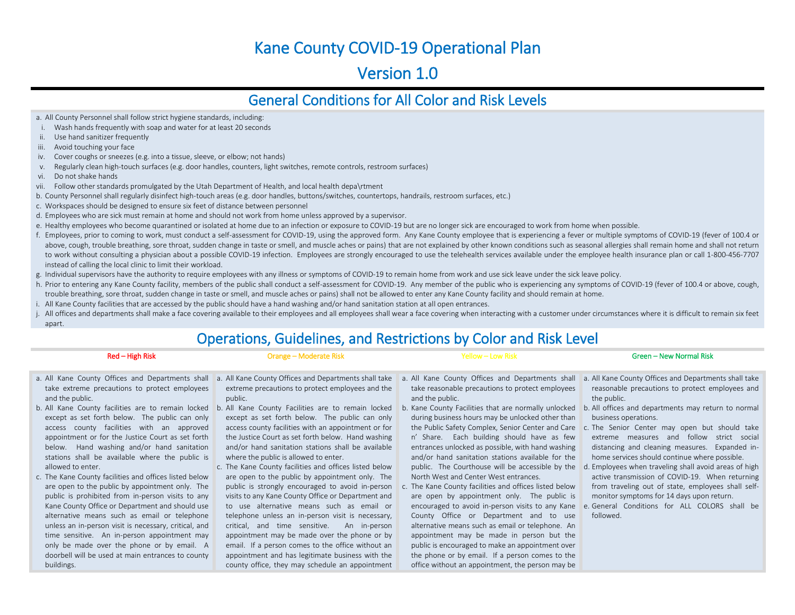## Kane County COVID-19 Operational Plan

### Version 1.0

### General Conditions for All Color and Risk Levels

a. All County Personnel shall follow strict hygiene standards, including:

- i. Wash hands frequently with soap and water for at least 20 seconds
- ii. Use hand sanitizer frequently
- iii. Avoid touching your face
- iv. Cover coughs or sneezes (e.g. into a tissue, sleeve, or elbow; not hands)
- v. Regularly clean high-touch surfaces (e.g. door handles, counters, light switches, remote controls, restroom surfaces)
- vi. Do not shake hands
- vii. Follow other standards promulgated by the Utah Department of Health, and local health depa\rtment
- b. County Personnel shall regularly disinfect high-touch areas (e.g. door handles, buttons/switches, countertops, handrails, restroom surfaces, etc.)
- c. Workspaces should be designed to ensure six feet of distance between personnel
- d. Employees who are sick must remain at home and should not work from home unless approved by a supervisor.
- e. Healthy employees who become quarantined or isolated at home due to an infection or exposure to COVID-19 but are no longer sick are encouraged to work from home when possible.
- f. Employees, prior to coming to work, must conduct a self-assessment for COVID-19, using the approved form. Any Kane County employee that is experiencing a fever or multiple symptoms of COVID-19 (fever of 100.4 or above, cough, trouble breathing, sore throat, sudden change in taste or smell, and muscle aches or pains) that are not explained by other known conditions such as seasonal allergies shall remain home and shall not return to work without consulting a physician about a possible COVID-19 infection. Employees are strongly encouraged to use the telehealth services available under the employee health insurance plan or call 1-800-456-7707 instead of calling the local clinic to limit their workload.
- g. Individual supervisors have the authority to require employees with any illness or symptoms of COVID-19 to remain home from work and use sick leave under the sick leave policy.
- h. Prior to entering any Kane County facility, members of the public shall conduct a self-assessment for COVID-19. Any member of the public who is experiencing any symptoms of COVID-19 (fever of 100.4 or above, cough, trouble breathing, sore throat, sudden change in taste or smell, and muscle aches or pains) shall not be allowed to enter any Kane County facility and should remain at home.
- i. All Kane County facilities that are accessed by the public should have a hand washing and/or hand sanitation station at all open entrances.
- j. All offices and departments shall make a face covering available to their employees and all employees shall wear a face covering when interacting with a customer under circumstances where it is difficult to remain six f apart.

### Operations, Guidelines, and Restrictions by Color and Risk Level

### Red – High Risk

- a. All Kane County Offices and Departments shall take extreme precautions to protect employees and the public.
- b. All Kane County facilities are to remain locked b. All Kane County Facilities are to remain locked except as set forth below. The public can only access county facilities with an approved appointment or for the Justice Court as set forth below. Hand washing and/or hand sanitation stations shall be available where the public is allowed to enter.
- c. The Kane County facilities and offices listed below are open to the public by appointment only. The public is prohibited from in-person visits to any Kane County Office or Department and should use alternative means such as email or telephone unless an in-person visit is necessary, critical, and time sensitive. An in-person appointment may only be made over the phone or by email. A doorbell will be used at main entrances to county buildings.

a. All Kane County Offices and Departments shall take extreme precautions to protect employees and the public.

Orange – Moderate Risk

- except as set forth below. The public can only access county facilities with an appointment or for the Justice Court as set forth below. Hand washing and/or hand sanitation stations shall be available where the public is allowed to enter.
- c. The Kane County facilities and offices listed below are open to the public by appointment only. The public is strongly encouraged to avoid in-person visits to any Kane County Office or Department and to use alternative means such as email or telephone unless an in-person visit is necessary, critical, and time sensitive. An in-person appointment may be made over the phone or by email. If a person comes to the office without an appointment and has legitimate business with the county office, they may schedule an appointment
- a. All Kane County Offices and Departments shall take reasonable precautions to protect employees and the public.

Yellow – Low Risk

- b. Kane County Facilities that are normally unlocked during business hours may be unlocked other than n' Share. Each building should have as few entrances unlocked as possible, with hand washing and/or hand sanitation stations available for the North West and Center West entrances.
- c. The Kane County facilities and offices listed below are open by appointment only. The public is County Office or Department and to use alternative means such as email or telephone. An appointment may be made in person but the public is encouraged to make an appointment over the phone or by email. If a person comes to the office without an appointment, the person may be

a. All Kane County Offices and Departments shall take reasonable precautions to protect employees and the public.

Green – New Normal Risk

- b. All offices and departments may return to normal business operations.
- the Public Safety Complex, Senior Center and Care c. The Senior Center may open but should take extreme measures and follow strict social distancing and cleaning measures. Expanded inhome services should continue where possible.
- public. The Courthouse will be accessible by the d. Employees when traveling shall avoid areas of high active transmission of COVID-19. When returning from traveling out of state, employees shall selfmonitor symptoms for 14 days upon return.
- encouraged to avoid in-person visits to any Kane e. General Conditions for ALL COLORS shall be followed.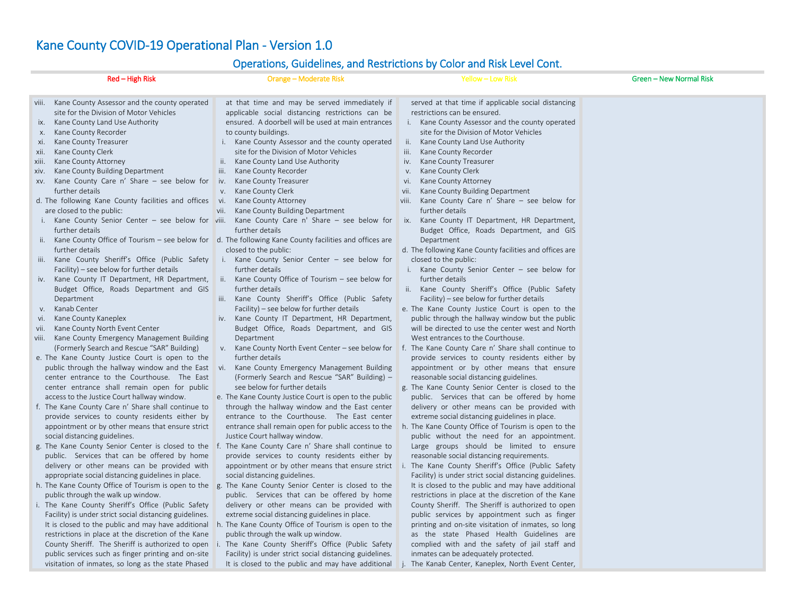## Kane County COVID-19 Operational Plan - Version 1.0

### Operations, Guidelines, and Restrictions by Color and Risk Level Cont.

|                                                                               | Red - High Risk                                                                                                                                                                                                                                                                                                                                                                                                                                                                                                                                                                                                                                                                                                                                                                                                                                                                                                                                                                                                                                                                                                                                                                                                                                                                                                                                                                                                                                                                                                | Orange - Moderate Risk                                                                                                                                                                                                                                                                                                                                                                                                                                                                                                                                                                                                                                                                                                                                                                                                                                                                                                                                                                                                                                                                                                                                                                                                                                                                                                                                                                                                                                                                                                                                                                                                                                                                                                                                              | Yellow - Low Risk                                                                                                                                                                                                                                                                                                                                                                                                                                                                                                                                                                                                                                                                                                                                                                                                                                                                                                                                                                                                                                                                                                                                                                                                                                                                                                                                                                                                                                                                                                                                                                                                                                                                                   | Green - New Normal Risk |
|-------------------------------------------------------------------------------|----------------------------------------------------------------------------------------------------------------------------------------------------------------------------------------------------------------------------------------------------------------------------------------------------------------------------------------------------------------------------------------------------------------------------------------------------------------------------------------------------------------------------------------------------------------------------------------------------------------------------------------------------------------------------------------------------------------------------------------------------------------------------------------------------------------------------------------------------------------------------------------------------------------------------------------------------------------------------------------------------------------------------------------------------------------------------------------------------------------------------------------------------------------------------------------------------------------------------------------------------------------------------------------------------------------------------------------------------------------------------------------------------------------------------------------------------------------------------------------------------------------|---------------------------------------------------------------------------------------------------------------------------------------------------------------------------------------------------------------------------------------------------------------------------------------------------------------------------------------------------------------------------------------------------------------------------------------------------------------------------------------------------------------------------------------------------------------------------------------------------------------------------------------------------------------------------------------------------------------------------------------------------------------------------------------------------------------------------------------------------------------------------------------------------------------------------------------------------------------------------------------------------------------------------------------------------------------------------------------------------------------------------------------------------------------------------------------------------------------------------------------------------------------------------------------------------------------------------------------------------------------------------------------------------------------------------------------------------------------------------------------------------------------------------------------------------------------------------------------------------------------------------------------------------------------------------------------------------------------------------------------------------------------------|-----------------------------------------------------------------------------------------------------------------------------------------------------------------------------------------------------------------------------------------------------------------------------------------------------------------------------------------------------------------------------------------------------------------------------------------------------------------------------------------------------------------------------------------------------------------------------------------------------------------------------------------------------------------------------------------------------------------------------------------------------------------------------------------------------------------------------------------------------------------------------------------------------------------------------------------------------------------------------------------------------------------------------------------------------------------------------------------------------------------------------------------------------------------------------------------------------------------------------------------------------------------------------------------------------------------------------------------------------------------------------------------------------------------------------------------------------------------------------------------------------------------------------------------------------------------------------------------------------------------------------------------------------------------------------------------------------|-------------------------|
| IX.<br>х.<br>xi.<br>xii.<br>xiii.<br>XIV.<br>i.<br>V.<br>vi.<br>vii.<br>viii. | viii. Kane County Assessor and the county operated<br>site for the Division of Motor Vehicles<br>Kane County Land Use Authority<br>Kane County Recorder<br>Kane County Treasurer<br>Kane County Clerk<br>Kane County Attorney<br>Kane County Building Department<br>$xv$ . Kane County Care n' Share – see below for<br>further details<br>d. The following Kane County facilities and offices vi.<br>are closed to the public:<br>Kane County Senior Center - see below for viii.<br>further details<br>further details<br>iii. Kane County Sheriff's Office (Public Safety<br>Facility) – see below for further details<br>iv. Kane County IT Department, HR Department,<br>Budget Office, Roads Department and GIS<br>Department<br>Kanab Center<br>Kane County Kaneplex<br>Kane County North Event Center<br>Kane County Emergency Management Building<br>(Formerly Search and Rescue "SAR" Building)<br>e. The Kane County Justice Court is open to the<br>public through the hallway window and the East<br>center entrance to the Courthouse. The East<br>center entrance shall remain open for public<br>access to the Justice Court hallway window.<br>f. The Kane County Care n' Share shall continue to<br>provide services to county residents either by<br>appointment or by other means that ensure strict<br>social distancing guidelines.<br>g. The Kane County Senior Center is closed to the<br>public. Services that can be offered by home<br>delivery or other means can be provided with | operations, calactinies, and nesthelions by color and more core. come<br>at that time and may be served immediately if<br>applicable social distancing restrictions can be<br>ensured. A doorbell will be used at main entrances<br>to county buildings.<br>i. Kane County Assessor and the county operated<br>site for the Division of Motor Vehicles<br>Kane County Land Use Authority<br>ii.<br>Kane County Recorder<br>iii.<br>Kane County Treasurer<br>iv.<br>Kane County Clerk<br>V.<br>Kane County Attorney<br>Kane County Building Department<br>vii.<br>Kane County Care $n'$ Share $-$ see below for<br>further details<br>ii. Kane County Office of Tourism – see below for $\,$ d. The following Kane County facilities and offices are<br>closed to the public:<br>i. Kane County Senior Center - see below for<br>further details<br>ii. Kane County Office of Tourism - see below for<br>further details<br>iii. Kane County Sheriff's Office (Public Safety<br>Facility) – see below for further details<br>Kane County IT Department, HR Department,<br>iv.<br>Budget Office, Roads Department, and GIS<br>Department<br>Kane County North Event Center - see below for<br>V.<br>further details<br>Kane County Emergency Management Building<br>Vi.<br>(Formerly Search and Rescue "SAR" Building) -<br>see below for further details<br>e. The Kane County Justice Court is open to the public<br>through the hallway window and the East center<br>entrance to the Courthouse. The East center<br>entrance shall remain open for public access to the<br>Justice Court hallway window.<br>The Kane County Care n' Share shall continue to<br>provide services to county residents either by<br>appointment or by other means that ensure strict | served at that time if applicable social distancing<br>restrictions can be ensured.<br>i. Kane County Assessor and the county operated<br>site for the Division of Motor Vehicles<br>ii. Kane County Land Use Authority<br>iii.<br>Kane County Recorder<br>Kane County Treasurer<br>iv.<br>Kane County Clerk<br>V.<br>Kane County Attorney<br>vi.<br>Kane County Building Department<br>vii.<br>viii.<br>Kane County Care n' Share - see below for<br>further details<br>ix. Kane County IT Department, HR Department,<br>Budget Office, Roads Department, and GIS<br>Department<br>d. The following Kane County facilities and offices are<br>closed to the public:<br>i. Kane County Senior Center - see below for<br>further details<br>ii. Kane County Sheriff's Office (Public Safety<br>Facility) – see below for further details<br>e. The Kane County Justice Court is open to the<br>public through the hallway window but the public<br>will be directed to use the center west and North<br>West entrances to the Courthouse.<br>f. The Kane County Care n' Share shall continue to<br>provide services to county residents either by<br>appointment or by other means that ensure<br>reasonable social distancing guidelines.<br>g. The Kane County Senior Center is closed to the<br>public. Services that can be offered by home<br>delivery or other means can be provided with<br>extreme social distancing guidelines in place.<br>h. The Kane County Office of Tourism is open to the<br>public without the need for an appointment.<br>Large groups should be limited to ensure<br>reasonable social distancing requirements.<br>The Kane County Sheriff's Office (Public Safety |                         |
|                                                                               | appropriate social distancing guidelines in place.<br>public through the walk up window.<br>i. The Kane County Sheriff's Office (Public Safety<br>Facility) is under strict social distancing guidelines.<br>It is closed to the public and may have additional<br>restrictions in place at the discretion of the Kane<br>County Sheriff. The Sheriff is authorized to open i.<br>public services such as finger printing and on-site<br>visitation of inmates, so long as the state Phased                                                                                                                                                                                                                                                                                                                                                                                                                                                                                                                                                                                                                                                                                                                                                                                                                                                                                                                                                                                                                    | social distancing guidelines.<br>h. The Kane County Office of Tourism is open to the g. The Kane County Senior Center is closed to the<br>public. Services that can be offered by home<br>delivery or other means can be provided with<br>extreme social distancing guidelines in place.<br>h. The Kane County Office of Tourism is open to the<br>public through the walk up window.<br>The Kane County Sheriff's Office (Public Safety<br>Facility) is under strict social distancing guidelines.                                                                                                                                                                                                                                                                                                                                                                                                                                                                                                                                                                                                                                                                                                                                                                                                                                                                                                                                                                                                                                                                                                                                                                                                                                                                 | Facility) is under strict social distancing guidelines.<br>It is closed to the public and may have additional<br>restrictions in place at the discretion of the Kane<br>County Sheriff. The Sheriff is authorized to open<br>public services by appointment such as finger<br>printing and on-site visitation of inmates, so long<br>as the state Phased Health Guidelines are<br>complied with and the safety of jail staff and<br>inmates can be adequately protected.<br>It is closed to the public and may have additional j. The Kanab Center, Kaneplex, North Event Center,                                                                                                                                                                                                                                                                                                                                                                                                                                                                                                                                                                                                                                                                                                                                                                                                                                                                                                                                                                                                                                                                                                                   |                         |